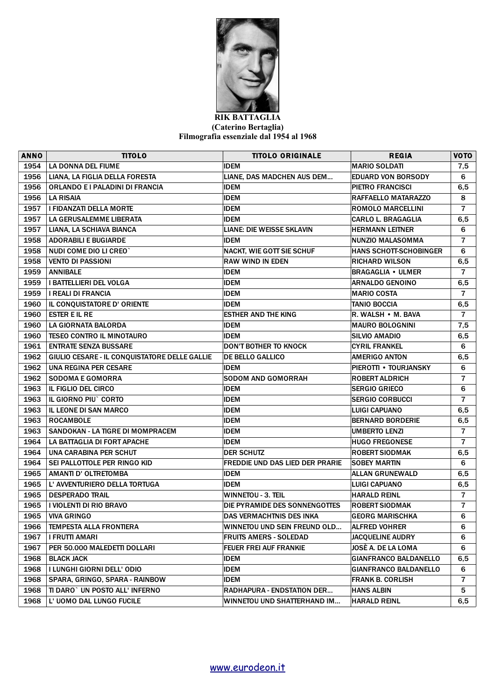

## **RIK BATTAGLIA (Caterino Bertaglia) Filmografia essenziale dal 1954 al 1968**

| <b>ANNO</b> | TITOLO                                        | <b>TITOLO ORIGINALE</b>                | <b>REGIA</b>                  | <b>VOTO</b>    |
|-------------|-----------------------------------------------|----------------------------------------|-------------------------------|----------------|
| 1954        | LA DONNA DEL FIUME                            | <b>IDEM</b>                            | <b>MARIO SOLDATI</b>          | 7,5            |
| 1956        | LIANA. LA FIGLIA DELLA FORESTA                | LIANE, DAS MADCHEN AUS DEM             | <b>EDUARD VON BORSODY</b>     | 6              |
| 1956        | ORLANDO E I PALADINI DI FRANCIA               | <b>IDEM</b>                            | <b>PIETRO FRANCISCI</b>       | 6, 5           |
| 1956        | <b>LA RISAIA</b>                              | <b>IDEM</b>                            | RAFFAELLO MATARAZZO           | 8              |
| 1957        | I FIDANZATI DELLA MORTE                       | <b>IDEM</b>                            | <b>ROMOLO MARCELLINI</b>      | $\overline{7}$ |
| 1957        | LA GERUSALEMME LIBERATA                       | <b>IDEM</b>                            | <b>CARLO L. BRAGAGLIA</b>     | 6,5            |
| 1957        | LIANA, LA SCHIAVA BIANCA                      | <b>LIANE: DIE WEISSE SKLAVIN</b>       | <b>HERMANN LEITNER</b>        | 6              |
| 1958        | <b>ADORABILI E BUGIARDE</b>                   | <b>IDEM</b>                            | NUNZIO MALASOMMA              | $\overline{7}$ |
| 1958        | NUDI COME DIO LI CREO`                        | <b>NACKT, WIE GOTT SIE SCHUF</b>       | <b>HANS SCHOTT-SCHOBINGER</b> | 6              |
| 1958        | <b>VENTO DI PASSIONI</b>                      | <b>RAW WIND IN EDEN</b>                | <b>RICHARD WILSON</b>         | 6, 5           |
| 1959        | <b>ANNIBALE</b>                               | <b>IDEM</b>                            | <b>BRAGAGLIA • ULMER</b>      | $\overline{7}$ |
| 1959        | I BATTELLIERI DEL VOLGA                       | <b>IDEM</b>                            | <b>ARNALDO GENOINO</b>        | 6, 5           |
| 1959        | <b>I REALI DI FRANCIA</b>                     | <b>IDEM</b>                            | <b>MARIO COSTA</b>            | $\overline{7}$ |
| 1960        | IL CONQUISTATORE D' ORIENTE                   | <b>IDEM</b>                            | <b>TANIO BOCCIA</b>           | 6, 5           |
| 1960        | <b>ESTER E IL RE</b>                          | <b>ESTHER AND THE KING</b>             | R. WALSH • M. BAVA            | $\overline{7}$ |
| 1960        | LA GIORNATA BALORDA                           | <b>IDEM</b>                            | <b>MAURO BOLOGNINI</b>        | 7,5            |
| 1960        | <b>TESEO CONTRO IL MINOTAURO</b>              | <b>IDEM</b>                            | <b>SILVIO AMADIO</b>          | 6,5            |
| 1961        | <b>ENTRATE SENZA BUSSARE</b>                  | <b>DON'T BOTHER TO KNOCK</b>           | <b>CYRIL FRANKEL</b>          | 6              |
| 1962        | GIULIO CESARE - IL CONQUISTATORE DELLE GALLIE | <b>DE BELLO GALLICO</b>                | <b>AMERIGO ANTON</b>          | 6,5            |
| 1962        | UNA REGINA PER CESARE                         | <b>IDEM</b>                            | <b>PIEROTTI • TOURJANSKY</b>  | 6              |
| 1962        | <b>SODOMA E GOMORRA</b>                       | <b>SODOM AND GOMORRAH</b>              | <b>ROBERT ALDRICH</b>         | $\overline{7}$ |
| 1963        | <b>IL FIGLIO DEL CIRCO</b>                    | <b>IDEM</b>                            | <b>SERGIO GRIECO</b>          | 6              |
| 1963        | IL GIORNO PIU <sup>®</sup> CORTO              | <b>IDEM</b>                            | <b>SERGIO CORBUCCI</b>        | $\overline{7}$ |
| 1963        | IL LEONE DI SAN MARCO                         | <b>IDEM</b>                            | <b>LUIGI CAPUANO</b>          | 6,5            |
| 1963        | <b>ROCAMBOLE</b>                              | <b>IDEM</b>                            | <b>BERNARD BORDERIE</b>       | 6,5            |
| 1963        | SANDOKAN - LA TIGRE DI MOMPRACEM              | <b>IDEM</b>                            | <b>UMBERTO LENZI</b>          | $\overline{7}$ |
| 1964        | LA BATTAGLIA DI FORT APACHE                   | <b>IDEM</b>                            | <b>HUGO FREGONESE</b>         | $\overline{7}$ |
| 1964        | <b>UNA CARABINA PER SCHUT</b>                 | <b>DER SCHUTZ</b>                      | <b>ROBERT SIODMAK</b>         | 6,5            |
| 1964        | SEI PALLOTTOLE PER RINGO KID                  | <b>FREDDIE UND DAS LIED DER PRARIE</b> | <b>SOBEY MARTIN</b>           | 6              |
| 1965        | <b>AMANTI D' OLTRETOMBA</b>                   | <b>IDEM</b>                            | <b>ALLAN GRUNEWALD</b>        | 6, 5           |
| 1965        | L' AVVENTURIERO DELLA TORTUGA                 | <b>IDEM</b>                            | <b>LUIGI CAPUANO</b>          | 6,5            |
| 1965        | <b>DESPERADO TRAIL</b>                        | WINNETOU - 3. TEIL                     | <b>HARALD REINL</b>           | $\overline{7}$ |
| 1965        | I VIOLENTI DI RIO BRAVO                       | DIE PYRAMIDE DES SONNENGOTTES          | <b>ROBERT SIODMAK</b>         | $\overline{7}$ |
| 1965        | <b>VIVA GRINGO</b>                            | DAS VERMACHTNIS DES INKA               | <b>GEORG MARISCHKA</b>        | 6              |
| 1966        | <b>TEMPESTA ALLA FRONTIERA</b>                | WINNETOU UND SEIN FREUND OLD           | <b>ALFRED VOHRER</b>          | 6              |
| 1967        | I FRUTTI AMARI                                | <b>FRUITS AMERS - SOLEDAD</b>          | <b>JACQUELINE AUDRY</b>       | 6              |
| 1967        | PER 50.000 MALEDETTI DOLLARI                  | <b>FEUER FREI AUF FRANKIE</b>          | JOSÈ A. DE LA LOMA            | 6              |
| 1968        | <b>BLACK JACK</b>                             | <b>IDEM</b>                            | <b>GIANFRANCO BALDANELLO</b>  | 6, 5           |
| 1968        | I LUNGHI GIORNI DELL' ODIO                    | <b>IDEM</b>                            | <b>GIANFRANCO BALDANELLO</b>  | 6              |
| 1968        | SPARA, GRINGO, SPARA - RAINBOW                | <b>IDEM</b>                            | <b>FRANK B. CORLISH</b>       | 7              |
| 1968        | TI DARO`UN POSTO ALL' INFERNO                 | RADHAPURA - ENDSTATION DER             | <b>HANS ALBIN</b>             | 5              |
| 1968        | L' UOMO DAL LUNGO FUCILE                      | WINNETOU UND SHATTERHAND IM            | <b>HARALD REINL</b>           | 6,5            |

[www.eurodeon.it](https://www.eurodeon.it/)